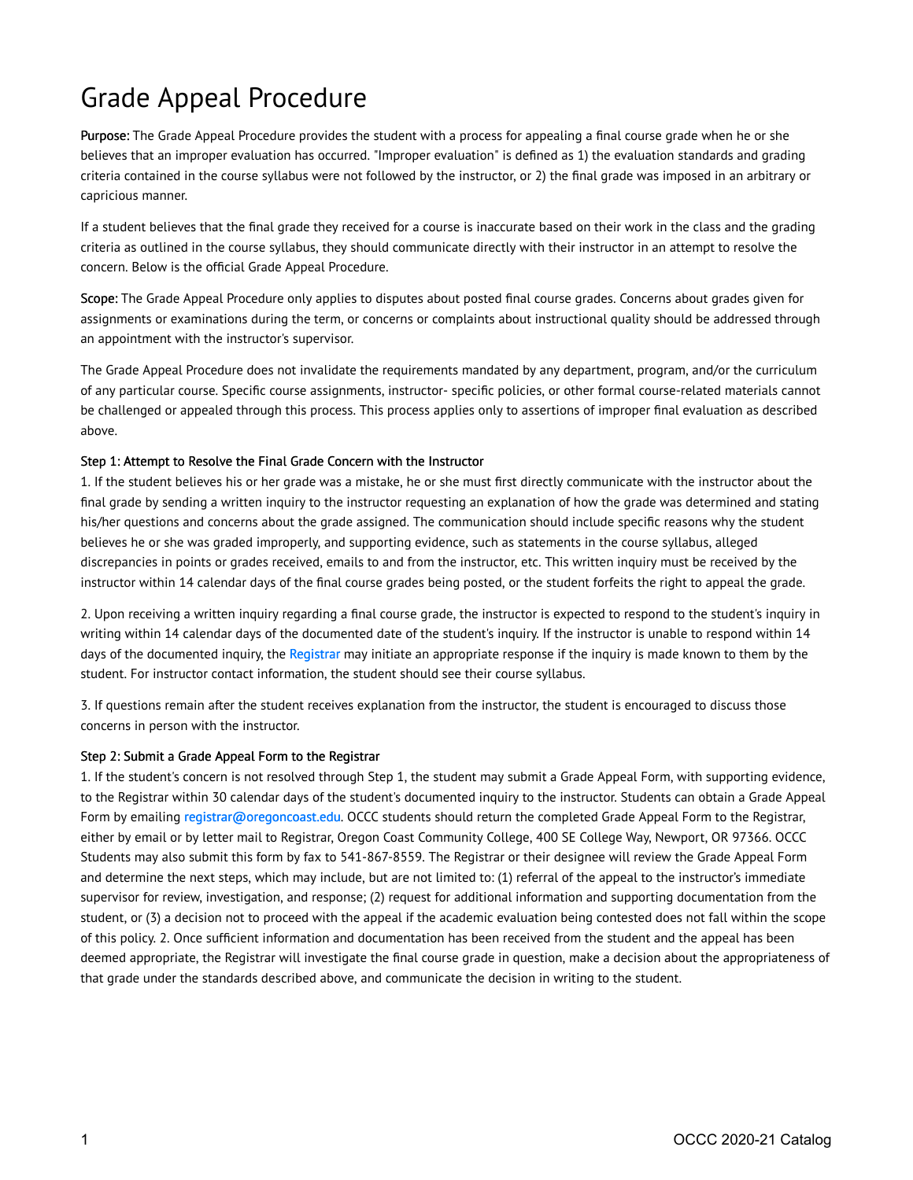## Grade Appeal Procedure

Purpose: The Grade Appeal Procedure provides the student with a process for appealing a final course grade when he or she believes that an improper evaluation has occurred. "Improper evaluation" is defined as 1) the evaluation standards and grading criteria contained in the course syllabus were not followed by the instructor, or 2) the final grade was imposed in an arbitrary or capricious manner.

If a student believes that the final grade they received for a course is inaccurate based on their work in the class and the grading criteria as outlined in the course syllabus, they should communicate directly with their instructor in an attempt to resolve the concern. Below is the official Grade Appeal Procedure.

Scope: The Grade Appeal Procedure only applies to disputes about posted final course grades. Concerns about grades given for assignments or examinations during the term, or concerns or complaints about instructional quality should be addressed through an appointment with the instructor's supervisor.

The Grade Appeal Procedure does not invalidate the requirements mandated by any department, program, and/or the curriculum of any particular course. Specific course assignments, instructor- specific policies, or other formal course-related materials cannot be challenged or appealed through this process. This process applies only to assertions of improper final evaluation as described above.

## Step 1: Attempt to Resolve the Final Grade Concern with the Instructor

1. If the student believes his or her grade was a mistake, he or she must first directly communicate with the instructor about the final grade by sending a written inquiry to the instructor requesting an explanation of how the grade was determined and stating his/her questions and concerns about the grade assigned. The communication should include specific reasons why the student believes he or she was graded improperly, and supporting evidence, such as statements in the course syllabus, alleged discrepancies in points or grades received, emails to and from the instructor, etc. This written inquiry must be received by the instructor within 14 calendar days of the final course grades being posted, or the student forfeits the right to appeal the grade.

2. Upon receiving a written inquiry regarding a final course grade, the instructor is expected to respond to the student's inquiry in writing within 14 calendar days of the documented date of the student's inquiry. If the instructor is unable to respond within 14 days of the documented inquiry, the [Registrar](mailto:registrar@oregoncoast.edu) may initiate an appropriate response if the inquiry is made known to them by the student. For instructor contact information, the student should see their course syllabus.

3. If questions remain after the student receives explanation from the instructor, the student is encouraged to discuss those concerns in person with the instructor.

## Step 2: Submit a Grade Appeal Form to the Registrar

1. If the student's concern is not resolved through Step 1, the student may submit a Grade Appeal Form, with supporting evidence, to the Registrar within 30 calendar days of the student's documented inquiry to the instructor. Students can obtain a Grade Appeal Form by emailing [registrar@oregoncoast.edu.](https://live-occc20.pantheonsite.io/registrar@oregoncoast.edu) OCCC students should return the completed Grade Appeal Form to the Registrar, either by email or by letter mail to Registrar, Oregon Coast Community College, 400 SE College Way, Newport, OR 97366. OCCC Students may also submit this form by fax to 541-867-8559. The Registrar or their designee will review the Grade Appeal Form and determine the next steps, which may include, but are not limited to: (1) referral of the appeal to the instructor's immediate supervisor for review, investigation, and response; (2) request for additional information and supporting documentation from the student, or (3) a decision not to proceed with the appeal if the academic evaluation being contested does not fall within the scope of this policy. 2. Once sufficient information and documentation has been received from the student and the appeal has been deemed appropriate, the Registrar will investigate the final course grade in question, make a decision about the appropriateness of that grade under the standards described above, and communicate the decision in writing to the student.